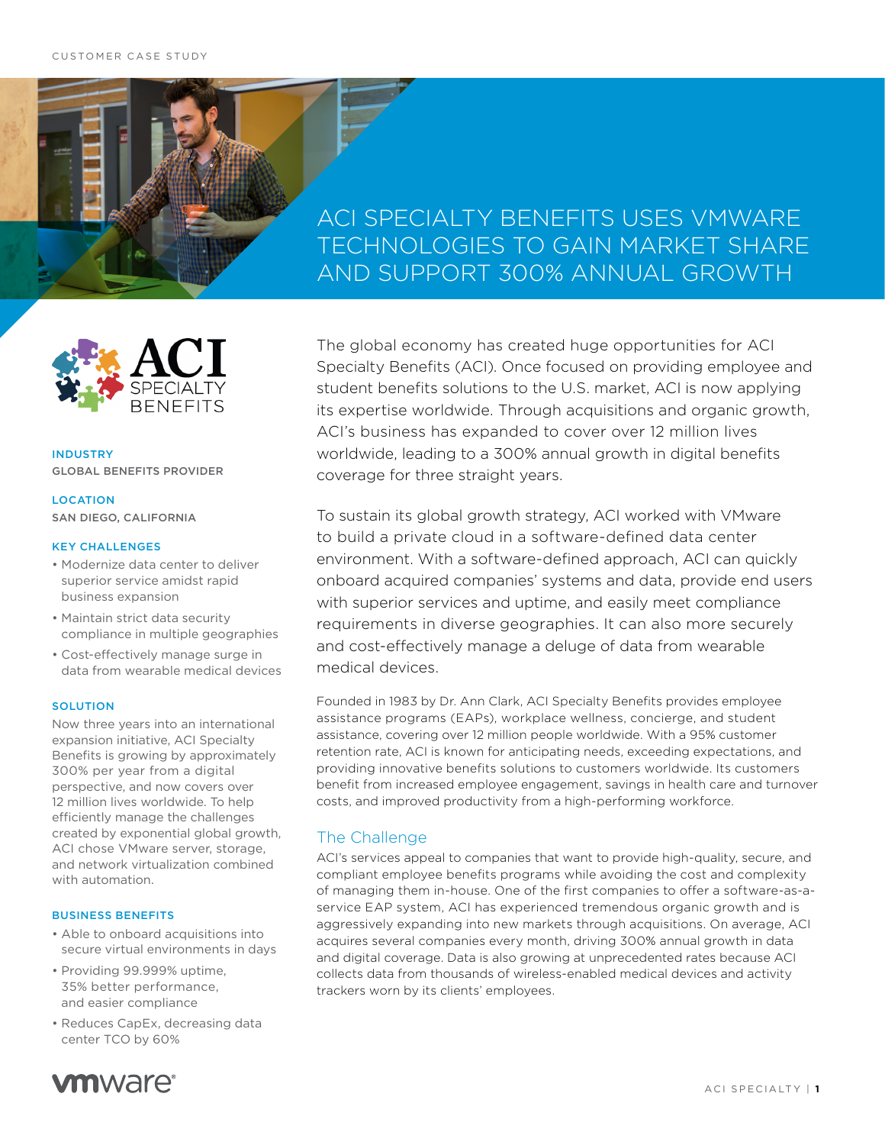# ACI SPECIALTY BENEFITS USES VMWARE TECHNOLOGIES TO GAIN MARKET SHARE AND SUPPORT 300% ANNUAL GROWTH



INDUSTRY GLOBAL BENEFITS PROVIDER

## LOCATION SAN DIEGO, CALIFORNIA

### KEY CHALLENGES

- Modernize data center to deliver superior service amidst rapid business expansion
- Maintain strict data security compliance in multiple geographies
- Cost-effectively manage surge in data from wearable medical devices

## **SOLUTION**

Now three years into an international expansion initiative, ACI Specialty Benefits is growing by approximately 300% per year from a digital perspective, and now covers over 12 million lives worldwide. To help efficiently manage the challenges created by exponential global growth, ACI chose VMware server, storage, and network virtualization combined with automation.

## BUSINESS BENEFITS

- Able to onboard acquisitions into secure virtual environments in days
- Providing 99.999% uptime, 35% better performance, and easier compliance
- Reduces CapEx, decreasing data center TCO by 60%



The global economy has created huge opportunities for ACI Specialty Benefits (ACI). Once focused on providing employee and student benefits solutions to the U.S. market, ACI is now applying its expertise worldwide. Through acquisitions and organic growth, ACI's business has expanded to cover over 12 million lives worldwide, leading to a 300% annual growth in digital benefits coverage for three straight years.

To sustain its global growth strategy, ACI worked with VMware to build a private cloud in a software-defined data center environment. With a software-defined approach, ACI can quickly onboard acquired companies' systems and data, provide end users with superior services and uptime, and easily meet compliance requirements in diverse geographies. It can also more securely and cost-effectively manage a deluge of data from wearable medical devices.

Founded in 1983 by Dr. Ann Clark, ACI Specialty Benefits provides employee assistance programs (EAPs), workplace wellness, concierge, and student assistance, covering over 12 million people worldwide. With a 95% customer retention rate, ACI is known for anticipating needs, exceeding expectations, and providing innovative benefits solutions to customers worldwide. Its customers benefit from increased employee engagement, savings in health care and turnover costs, and improved productivity from a high-performing workforce.

## The Challenge

ACI's services appeal to companies that want to provide high-quality, secure, and compliant employee benefits programs while avoiding the cost and complexity of managing them in-house. One of the first companies to offer a software-as-aservice EAP system, ACI has experienced tremendous organic growth and is aggressively expanding into new markets through acquisitions. On average, ACI acquires several companies every month, driving 300% annual growth in data and digital coverage. Data is also growing at unprecedented rates because ACI collects data from thousands of wireless-enabled medical devices and activity trackers worn by its clients' employees.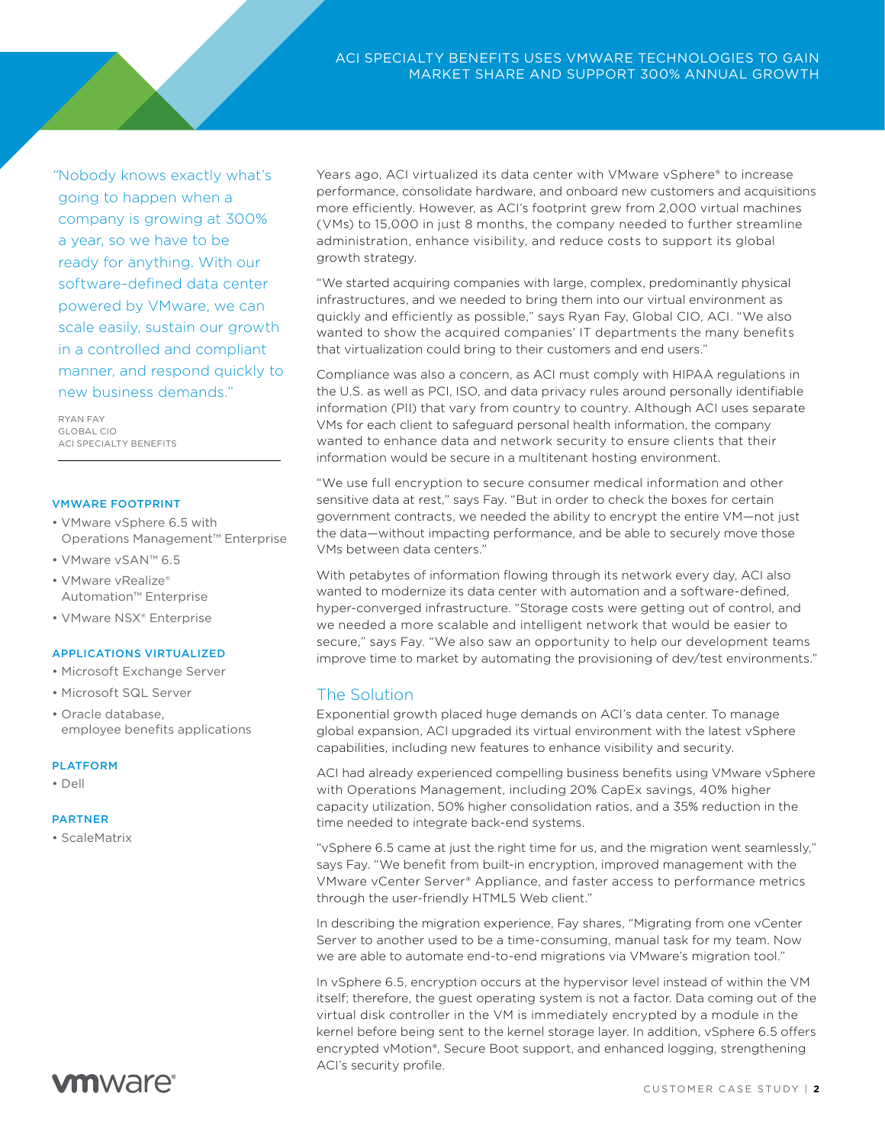*"*Nobody knows exactly what's going to happen when a company is growing at 300% a year, so we have to be ready for anything. With our software-defined data center powered by VMware, we can scale easily, sustain our growth in a controlled and compliant manner, and respond quickly to new business demands."

RYAN FAY GLOBAL CIO ACI SPECIALTY BENEFITS

### VMWARE FOOTPRINT

- VMware vSphere 6.5 with Operations Management™ Enterprise
- VMware vSAN™ 6.5
- VMware vRealize® Automation™ Enterprise
- VMware NSX® Enterprise

## APPLICATIONS VIRTUALIZED

- Microsoft Exchange Server
- Microsoft SQL Server
- Oracle database, employee benefits applications

#### PLATFORM

• Dell

#### **DAPTNED**

• ScaleMatrix

Years ago, ACI virtualized its data center with VMware vSphere® to increase performance, consolidate hardware, and onboard new customers and acquisitions more efficiently. However, as ACI's footprint grew from 2,000 virtual machines (VMs) to 15,000 in just 8 months, the company needed to further streamline administration, enhance visibility, and reduce costs to support its global growth strategy.

"We started acquiring companies with large, complex, predominantly physical infrastructures, and we needed to bring them into our virtual environment as quickly and efficiently as possible," says Ryan Fay, Global CIO, ACI. "We also wanted to show the acquired companies' IT departments the many benefits that virtualization could bring to their customers and end users."

Compliance was also a concern, as ACI must comply with HIPAA regulations in the U.S. as well as PCI, ISO, and data privacy rules around personally identifiable information (PII) that vary from country to country. Although ACI uses separate VMs for each client to safeguard personal health information, the company wanted to enhance data and network security to ensure clients that their information would be secure in a multitenant hosting environment.

"We use full encryption to secure consumer medical information and other sensitive data at rest," says Fay. "But in order to check the boxes for certain government contracts, we needed the ability to encrypt the entire VM—not just the data—without impacting performance, and be able to securely move those VMs between data centers."

With petabytes of information flowing through its network every day, ACI also wanted to modernize its data center with automation and a software-defined, hyper-converged infrastructure. "Storage costs were getting out of control, and we needed a more scalable and intelligent network that would be easier to secure," says Fay. "We also saw an opportunity to help our development teams improve time to market by automating the provisioning of dev/test environments."

## The Solution

Exponential growth placed huge demands on ACI's data center. To manage global expansion, ACI upgraded its virtual environment with the latest vSphere capabilities, including new features to enhance visibility and security.

ACI had already experienced compelling business benefits using VMware vSphere with Operations Management, including 20% CapEx savings, 40% higher capacity utilization, 50% higher consolidation ratios, and a 35% reduction in the time needed to integrate back-end systems.

"vSphere 6.5 came at just the right time for us, and the migration went seamlessly," says Fay. "We benefit from built-in encryption, improved management with the VMware vCenter Server® Appliance, and faster access to performance metrics through the user-friendly HTML5 Web client."

In describing the migration experience, Fay shares, "Migrating from one vCenter Server to another used to be a time-consuming, manual task for my team. Now we are able to automate end-to-end migrations via VMware's migration tool."

In vSphere 6.5, encryption occurs at the hypervisor level instead of within the VM itself; therefore, the guest operating system is not a factor. Data coming out of the virtual disk controller in the VM is immediately encrypted by a module in the kernel before being sent to the kernel storage layer. In addition, vSphere 6.5 offers encrypted vMotion®, Secure Boot support, and enhanced logging, strengthening ACI's security profile.

## **vm**ware<sup>®</sup>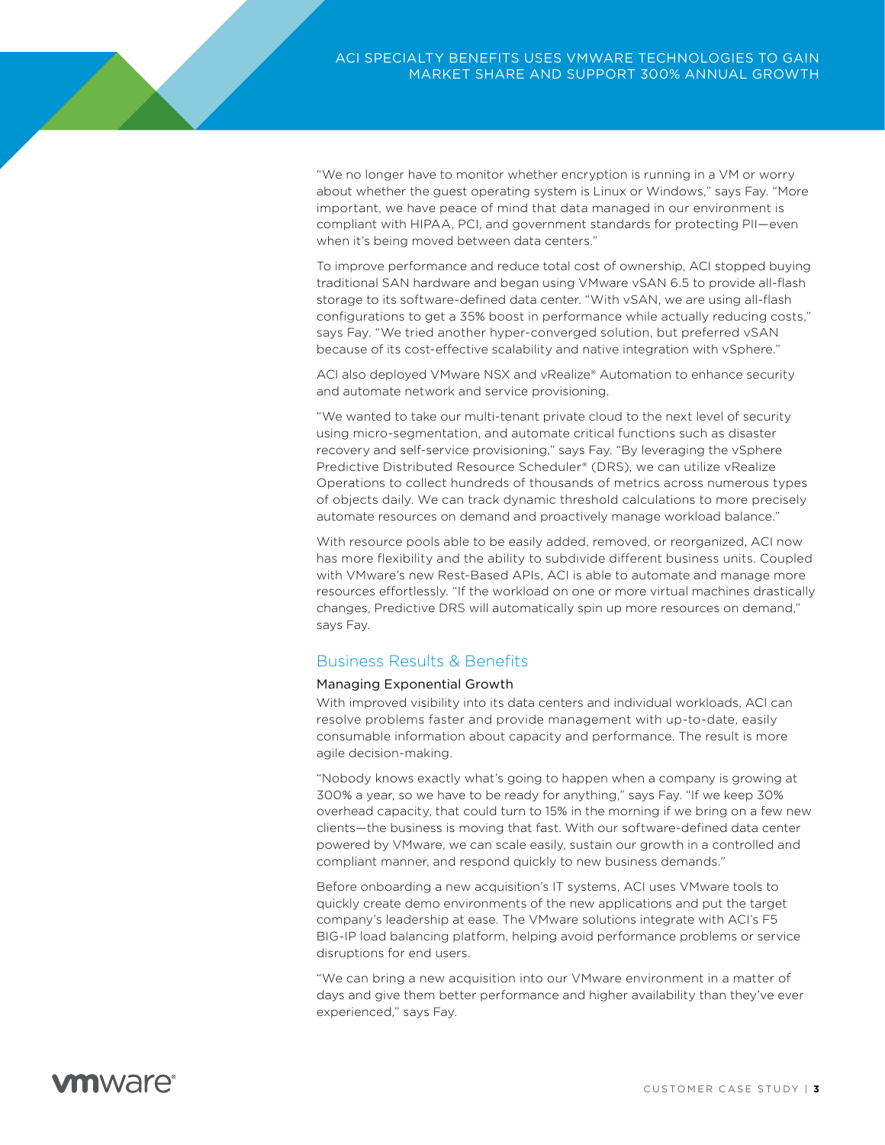"We no longer have to monitor whether encryption is running in a VM or worry about whether the guest operating system is Linux or Windows," says Fay. "More important, we have peace of mind that data managed in our environment is compliant with HIPAA, PCI, and government standards for protecting PII—even when it's being moved between data centers."

To improve performance and reduce total cost of ownership, ACI stopped buying traditional SAN hardware and began using VMware vSAN 6.5 to provide all-flash storage to its software-defined data center. "With vSAN, we are using all-flash configurations to get a 35% boost in performance while actually reducing costs," says Fay. "We tried another hyper-converged solution, but preferred vSAN because of its cost-effective scalability and native integration with vSphere."

ACI also deployed VMware NSX and vRealize® Automation to enhance security and automate network and service provisioning.

"We wanted to take our multi-tenant private cloud to the next level of security using micro-segmentation, and automate critical functions such as disaster recovery and self-service provisioning," says Fay. "By leveraging the vSphere Predictive Distributed Resource Scheduler® (DRS), we can utilize vRealize Operations to collect hundreds of thousands of metrics across numerous types of objects daily. We can track dynamic threshold calculations to more precisely automate resources on demand and proactively manage workload balance."

With resource pools able to be easily added, removed, or reorganized, ACI now has more flexibility and the ability to subdivide different business units. Coupled with VMware's new Rest-Based APIs, ACI is able to automate and manage more resources effortlessly. "If the workload on one or more virtual machines drastically changes, Predictive DRS will automatically spin up more resources on demand," says Fay.

## Business Results & Benefits

## Managing Exponential Growth

With improved visibility into its data centers and individual workloads, ACI can resolve problems faster and provide management with up-to-date, easily consumable information about capacity and performance. The result is more agile decision-making.

"Nobody knows exactly what's going to happen when a company is growing at 300% a year, so we have to be ready for anything," says Fay. "If we keep 30% overhead capacity, that could turn to 15% in the morning if we bring on a few new clients—the business is moving that fast. With our software-defined data center powered by VMware, we can scale easily, sustain our growth in a controlled and compliant manner, and respond quickly to new business demands."

Before onboarding a new acquisition's IT systems, ACI uses VMware tools to quickly create demo environments of the new applications and put the target company's leadership at ease. The VMware solutions integrate with ACI's F5 BIG-IP load balancing platform, helping avoid performance problems or service disruptions for end users.

"We can bring a new acquisition into our VMware environment in a matter of days and give them better performance and higher availability than they've ever experienced," says Fay.

# *m*mware<sup>®</sup>